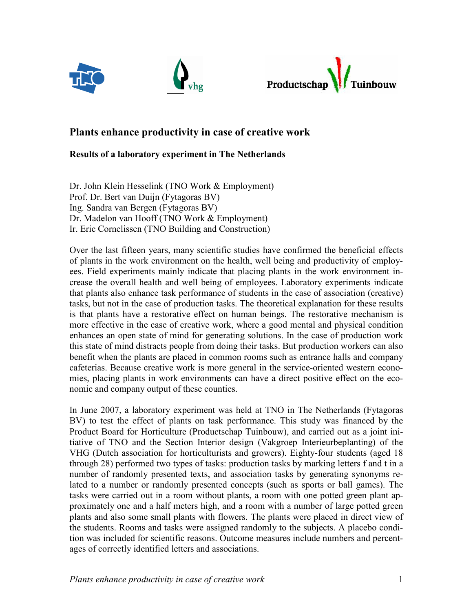





# Plants enhance productivity in case of creative work

## Results of a laboratory experiment in The Netherlands

Dr. John Klein Hesselink (TNO Work & Employment) Prof. Dr. Bert van Duijn (Fytagoras BV) Ing. Sandra van Bergen (Fytagoras BV) Dr. Madelon van Hooff (TNO Work & Employment) Ir. Eric Cornelissen (TNO Building and Construction)

Over the last fifteen years, many scientific studies have confirmed the beneficial effects of plants in the work environment on the health, well being and productivity of employees. Field experiments mainly indicate that placing plants in the work environment increase the overall health and well being of employees. Laboratory experiments indicate that plants also enhance task performance of students in the case of association (creative) tasks, but not in the case of production tasks. The theoretical explanation for these results is that plants have a restorative effect on human beings. The restorative mechanism is more effective in the case of creative work, where a good mental and physical condition enhances an open state of mind for generating solutions. In the case of production work this state of mind distracts people from doing their tasks. But production workers can also benefit when the plants are placed in common rooms such as entrance halls and company cafeterias. Because creative work is more general in the service-oriented western economies, placing plants in work environments can have a direct positive effect on the economic and company output of these counties.

In June 2007, a laboratory experiment was held at TNO in The Netherlands (Fytagoras BV) to test the effect of plants on task performance. This study was financed by the Product Board for Horticulture (Productschap Tuinbouw), and carried out as a joint initiative of TNO and the Section Interior design (Vakgroep Interieurbeplanting) of the VHG (Dutch association for horticulturists and growers). Eighty-four students (aged 18 through 28) performed two types of tasks: production tasks by marking letters f and t in a number of randomly presented texts, and association tasks by generating synonyms related to a number or randomly presented concepts (such as sports or ball games). The tasks were carried out in a room without plants, a room with one potted green plant approximately one and a half meters high, and a room with a number of large potted green plants and also some small plants with flowers. The plants were placed in direct view of the students. Rooms and tasks were assigned randomly to the subjects. A placebo condition was included for scientific reasons. Outcome measures include numbers and percentages of correctly identified letters and associations.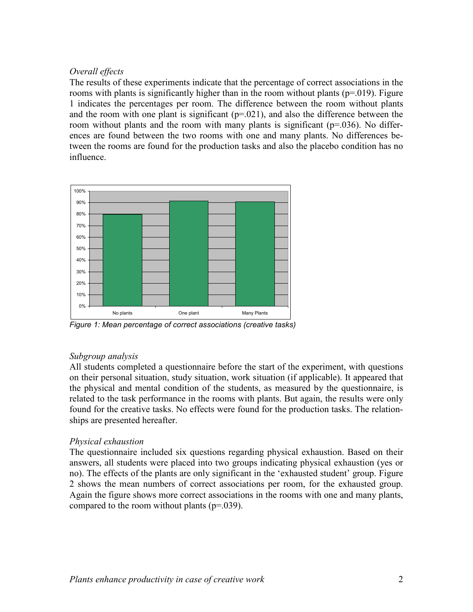### Overall effects

The results of these experiments indicate that the percentage of correct associations in the rooms with plants is significantly higher than in the room without plants ( $p=0.019$ ). Figure 1 indicates the percentages per room. The difference between the room without plants and the room with one plant is significant  $(p=0.021)$ , and also the difference between the room without plants and the room with many plants is significant ( $p=0.036$ ). No differences are found between the two rooms with one and many plants. No differences between the rooms are found for the production tasks and also the placebo condition has no influence.



Figure 1: Mean percentage of correct associations (creative tasks)

## Subgroup analysis

All students completed a questionnaire before the start of the experiment, with questions on their personal situation, study situation, work situation (if applicable). It appeared that the physical and mental condition of the students, as measured by the questionnaire, is related to the task performance in the rooms with plants. But again, the results were only found for the creative tasks. No effects were found for the production tasks. The relationships are presented hereafter.

## Physical exhaustion

The questionnaire included six questions regarding physical exhaustion. Based on their answers, all students were placed into two groups indicating physical exhaustion (yes or no). The effects of the plants are only significant in the 'exhausted student' group. Figure 2 shows the mean numbers of correct associations per room, for the exhausted group. Again the figure shows more correct associations in the rooms with one and many plants, compared to the room without plants (p=.039).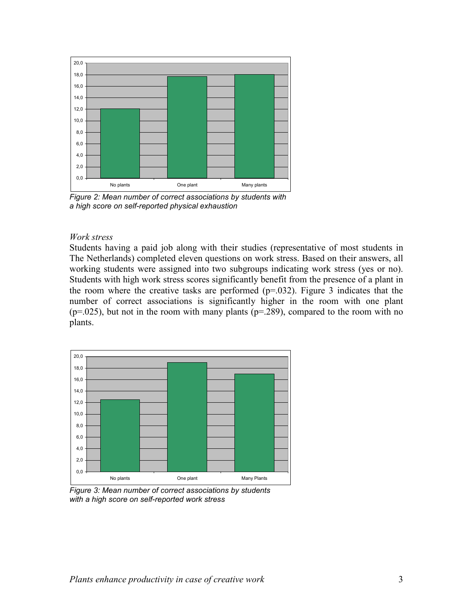

Figure 2: Mean number of correct associations by students with a high score on self-reported physical exhaustion

#### Work stress

Students having a paid job along with their studies (representative of most students in The Netherlands) completed eleven questions on work stress. Based on their answers, all working students were assigned into two subgroups indicating work stress (yes or no). Students with high work stress scores significantly benefit from the presence of a plant in the room where the creative tasks are performed  $(p=0.032)$ . Figure 3 indicates that the number of correct associations is significantly higher in the room with one plant  $(p=0.025)$ , but not in the room with many plants  $(p=.289)$ , compared to the room with no plants.



Figure 3: Mean number of correct associations by students with a high score on self-reported work stress